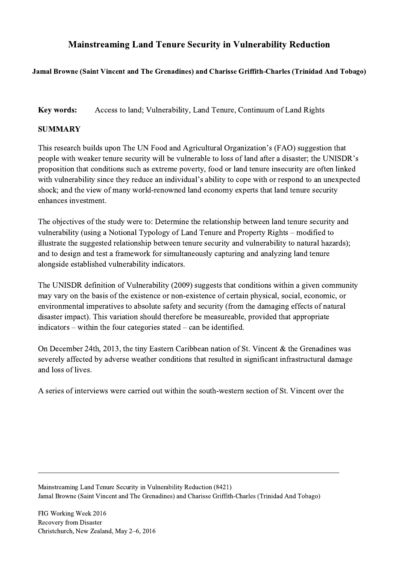## Mainstreaming Land Tenure Security in Vulnerability Reduction

## Jamal Browne (Saint Vincent and The Grenadines) and Charisse Griffith-Charles (Trinidad And Tobago)

Key words: Access to land; Vulnerability, Land Tenure, Continuum of Land Rights

## **SUMMARY**

This research builds upon The UN Food and Agricultural Organization's (FAO) suggestion that people with weaker tenure security will be vulnerable to loss of land after a disaster; the UNISDR's proposition that conditions such as extreme poverty, food or land tenure insecurity are often linked with vulnerability since they reduce an individual's ability to cope with or respond to an unexpected shock; and the view of many world-renowned land economy experts that land tenure security enhances investment.

The objectives of the study were to: Determine the relationship between land tenure security and vulnerability (using a Notional Typology of Land Tenure and Property Rights – modified to illustrate the suggested relationship between tenure security and vulnerability to natural hazards); and to design and test a framework for simultaneously capturing and analyzing land tenure alongside established vulnerability indicators.

The UNISDR definition of Vulnerability (2009) suggests that conditions within a given community may vary on the basis of the existence or non-existence of certain physical, social, economic, or environmental imperatives to absolute safety and security (from the damaging effects of natural disaster impact). This variation should therefore be measureable, provided that appropriate indicators – within the four categories stated – can be identified.

On December 24th, 2013, the tiny Eastern Caribbean nation of St. Vincent & the Grenadines was severely affected by adverse weather conditions that resulted in significant infrastructural damage and loss of lives.

A series of interviews were carried out within the south-western section of St. Vincent over the

 $\mathcal{L}_\mathcal{L} = \{ \mathcal{L}_\mathcal{L} = \{ \mathcal{L}_\mathcal{L} = \{ \mathcal{L}_\mathcal{L} = \{ \mathcal{L}_\mathcal{L} = \{ \mathcal{L}_\mathcal{L} = \{ \mathcal{L}_\mathcal{L} = \{ \mathcal{L}_\mathcal{L} = \{ \mathcal{L}_\mathcal{L} = \{ \mathcal{L}_\mathcal{L} = \{ \mathcal{L}_\mathcal{L} = \{ \mathcal{L}_\mathcal{L} = \{ \mathcal{L}_\mathcal{L} = \{ \mathcal{L}_\mathcal{L} = \{ \mathcal{L}_\mathcal{$